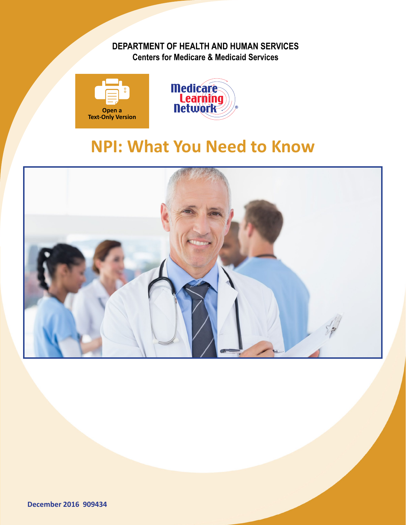### **DEPARTMENT OF HEALTH AND HUMAN SERVICES Centers for Medicare & Medicaid Services**





# **NPI: What You Need to Know**

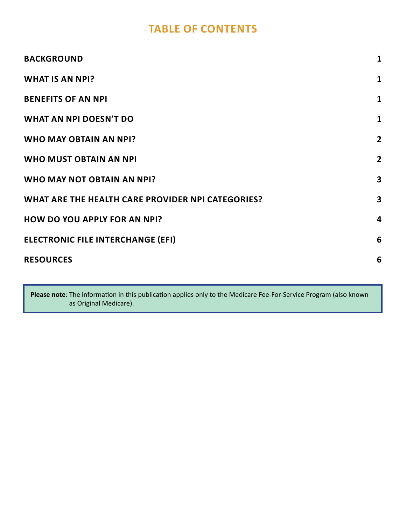## **TABLE OF CONTENTS**

| <b>BACKGROUND</b>                                 | $\mathbf{1}$            |
|---------------------------------------------------|-------------------------|
| <b>WHAT IS AN NPI?</b>                            | $\mathbf{1}$            |
| <b>BENEFITS OF AN NPI</b>                         | $\mathbf{1}$            |
| WHAT AN NPI DOESN'T DO                            | $\mathbf{1}$            |
| <b>WHO MAY OBTAIN AN NPI?</b>                     | $\overline{2}$          |
| <b>WHO MUST OBTAIN AN NPI</b>                     | $\overline{2}$          |
| WHO MAY NOT OBTAIN AN NPI?                        | $\overline{\mathbf{3}}$ |
| WHAT ARE THE HEALTH CARE PROVIDER NPI CATEGORIES? | $\mathbf{3}$            |
| <b>HOW DO YOU APPLY FOR AN NPI?</b>               | 4                       |
| <b>ELECTRONIC FILE INTERCHANGE (EFI)</b>          | 6                       |
| <b>RESOURCES</b>                                  | 6                       |
|                                                   |                         |

**Please note**: The information in this publication applies only to the Medicare Fee-For-Service Program (also known as Original Medicare).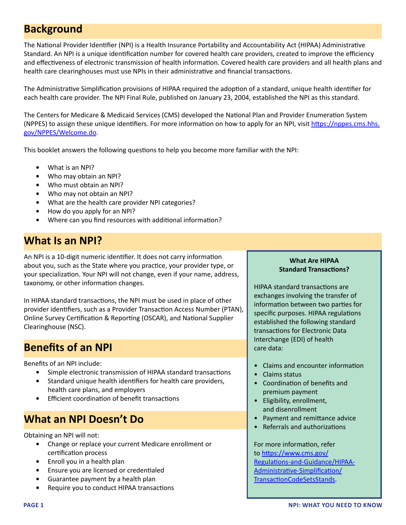### <span id="page-2-0"></span>**Background**

The National Provider Identifier (NPI) is a Health Insurance Portability and Accountability Act (HIPAA) Administrative Standard. An NPI is a unique identification number for covered health care providers, created to improve the efficiency and effectiveness of electronic transmission of health information. Covered health care providers and all health plans and health care clearinghouses must use NPIs in their administrative and financial transactions.

The Administrative Simplification provisions of HIPAA required the adoption of a standard, unique health identifier for each health care provider. The NPI Final Rule, published on January 23, 2004, established the NPI as this standard.

The Centers for Medicare & Medicaid Services (CMS) developed the National Plan and Provider Enumeration System (NPPES) to assign these unique identifiers. For more information on how to apply for an NPI, visit [https://nppes.cms.hhs.](https://nppes.cms.hhs.gov/NPPES/Welcome.do) [gov/NPPES/Welcome.do](https://nppes.cms.hhs.gov/NPPES/Welcome.do).

This booklet answers the following questions to help you become more familiar with the NPI:

- **•** What is an NPI?
- **•** Who may obtain an NPI?
- **•** Who must obtain an NPI?
- **•** Who may not obtain an NPI?
- **•** What are the health care provider NPI categories?
- **•** How do you apply for an NPI?
- **•** Where can you find resources with additional information?

## **What Is an NPI?**

An NPI is a 10-digit numeric identifier. It does not carry information about you, such as the State where you practice, your provider type, or your specialization. Your NPI will not change, even if your name, address, taxonomy, or other information changes.

In HIPAA standard transactions, the NPI must be used in place of other provider identifiers, such as a Provider Transaction Access Number (PTAN), Online Survey Certification & Reporting (OSCAR), and National Supplier Clearinghouse (NSC).

## **Benefits of an NPI**

Benefits of an NPI include:

- **•** Simple electronic transmission of HIPAA standard transactions
- **•** Standard unique health identifiers for health care providers, health care plans, and employers
- **•** Efficient coordination of benefit transactions

## **What an NPI Doesn't Do**

Obtaining an NPI will not:

- **•** Change or replace your current Medicare enrollment or certification process
- **•** Enroll you in a health plan
- **•** Ensure you are licensed or credentialed
- **•** Guarantee payment by a health plan
- **•** Require you to conduct HIPAA transactions

#### **What Are HIPAA Standard Transactions?**

HIPAA standard transactions are exchanges involving the transfer of information between two parties for specific purposes. HIPAA regulations established the following standard transactions for Electronic Data Interchange (EDI) of health care data:

- Claims and encounter information
- Claims status
- Coordination of benefits and premium payment
- Eligibility, enrollment, and disenrollment
- Payment and remittance advice
- Referrals and authorizations

For more information, refer to [https://www.cms.gov/](https://www.cms.gov/Regulations-and-Guidance/HIPAA-Administrative-Simplification/TransactionCodeSetsStands) [Regulations-and-Guidance/HIPAA-](https://www.cms.gov/Regulations-and-Guidance/HIPAA-Administrative-Simplification/TransactionCodeSetsStands)[Administrative-Simplification/](https://www.cms.gov/Regulations-and-Guidance/HIPAA-Administrative-Simplification/TransactionCodeSetsStands) [TransactionCodeSetsStands](https://www.cms.gov/Regulations-and-Guidance/HIPAA-Administrative-Simplification/TransactionCodeSetsStands).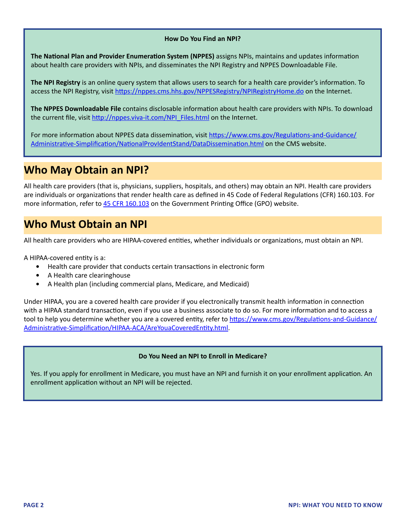#### **How Do You Find an NPI?**

<span id="page-3-0"></span>**The National Plan and Provider Enumeration System (NPPES)** assigns NPIs, maintains and updates information about health care providers with NPIs, and disseminates the NPI Registry and NPPES Downloadable File.

**The NPI Registry** is an online query system that allows users to search for a health care provider's information. To access the NPI Registry, visit <https://nppes.cms.hhs.gov/NPPESRegistry/NPIRegistryHome.do> on the Internet.

**The NPPES Downloadable File** contains disclosable information about health care providers with NPIs. To download the current file, visit [http://nppes.viva-it.com/NPI\\_Files.html](http://nppes.viva-it.com/NPI_Files.html) on the Internet.

For more information about NPPES data dissemination, visit [https://www.cms.gov/Regulations-and-Guidance/](https://www.cms.gov/Regulations-and-Guidance/Administrative-Simplification/NationalProvIdentStand/DataDissemination.html) [Administrative-Simplification/NationalProvIdentStand/DataDissemination.html](https://www.cms.gov/Regulations-and-Guidance/Administrative-Simplification/NationalProvIdentStand/DataDissemination.html) on the CMS website.

## **Who May Obtain an NPI?**

All health care providers (that is, physicians, suppliers, hospitals, and others) may obtain an NPI. Health care providers are individuals or organizations that render health care as defined in 45 Code of Federal Regulations (CFR) 160.103. For more information, refer to [45 CFR 160.103](https://www.gpo.gov/fdsys/pkg/CFR-2013-title45-vol1/pdf/CFR-2013-title45-vol1-sec160-103.pdf) on the Government Printing Office (GPO) website.

## **Who Must Obtain an NPI**

All health care providers who are HIPAA-covered entities, whether individuals or organizations, must obtain an NPI.

A HIPAA-covered entity is a:

- **•** Health care provider that conducts certain transactions in electronic form
- **•** A Health care clearinghouse
- **•** A Health plan (including commercial plans, Medicare, and Medicaid)

Under HIPAA, you are a covered health care provider if you electronically transmit health information in connection with a HIPAA standard transaction, even if you use a business associate to do so. For more information and to access a tool to help you determine whether you are a covered entity, refer to [https://www.cms.gov/Regulations-and-Guidance/](https://www.cms.gov/Regulations-and-Guidance/Administrative-Simplification/HIPAA-ACA/AreYouaCoveredEntity.html) [Administrative-Simplification/HIPAA-ACA/AreYouaCoveredEntity.html](https://www.cms.gov/Regulations-and-Guidance/Administrative-Simplification/HIPAA-ACA/AreYouaCoveredEntity.html).

#### **Do You Need an NPI to Enroll in Medicare?**

Yes. If you apply for enrollment in Medicare, you must have an NPI and furnish it on your enrollment application. An enrollment application without an NPI will be rejected.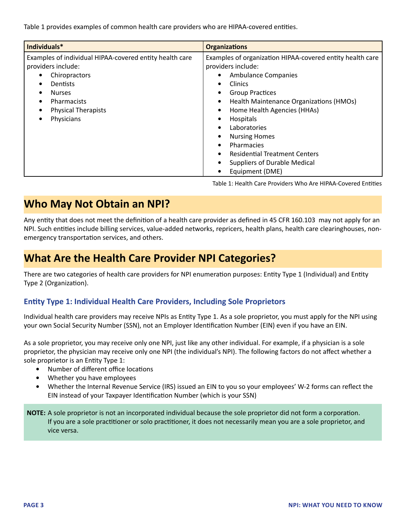<span id="page-4-0"></span>Table 1 provides examples of common health care providers who are HIPAA-covered entities.

| Individuals*                                                                                                                                                                                                                                                | <b>Organizations</b>                                                                                                                                                                                                                                                                                                                                                                                                               |
|-------------------------------------------------------------------------------------------------------------------------------------------------------------------------------------------------------------------------------------------------------------|------------------------------------------------------------------------------------------------------------------------------------------------------------------------------------------------------------------------------------------------------------------------------------------------------------------------------------------------------------------------------------------------------------------------------------|
| Examples of individual HIPAA-covered entity health care<br>providers include:<br>Chiropractors<br>٠<br><b>Dentists</b><br>$\bullet$<br><b>Nurses</b><br>$\bullet$<br>Pharmacists<br>$\bullet$<br><b>Physical Therapists</b><br>$\bullet$<br>Physicians<br>٠ | Examples of organization HIPAA-covered entity health care<br>providers include:<br><b>Ambulance Companies</b><br>Clinics<br>$\bullet$<br><b>Group Practices</b><br>Health Maintenance Organizations (HMOs)<br>٠<br>Home Health Agencies (HHAs)<br>Hospitals<br>Laboratories<br>٠<br><b>Nursing Homes</b><br>Pharmacies<br>٠<br><b>Residential Treatment Centers</b><br><b>Suppliers of Durable Medical</b><br>Equipment (DME)<br>٠ |

Table 1: Health Care Providers Who Are HIPAA-Covered Entities

## **Who May Not Obtain an NPI?**

Any entity that does not meet the definition of a health care provider as defined in 45 CFR 160.103 may not apply for an NPI. Such entities include billing services, value-added networks, repricers, health plans, health care clearinghouses, nonemergency transportation services, and others.

## **What Are the Health Care Provider NPI Categories?**

There are two categories of health care providers for NPI enumeration purposes: Entity Type 1 (Individual) and Entity Type 2 (Organization).

#### **Entity Type 1: Individual Health Care Providers, Including Sole Proprietors**

Individual health care providers may receive NPIs as Entity Type 1. As a sole proprietor, you must apply for the NPI using your own Social Security Number (SSN), not an Employer Identification Number (EIN) even if you have an EIN.

As a sole proprietor, you may receive only one NPI, just like any other individual. For example, if a physician is a sole proprietor, the physician may receive only one NPI (the individual's NPI). The following factors do not affect whether a sole proprietor is an Entity Type 1:

- **•** Number of different office locations
- **•** Whether you have employees
- **•** Whether the Internal Revenue Service (IRS) issued an EIN to you so your employees' W-2 forms can reflect the EIN instead of your Taxpayer Identification Number (which is your SSN)

**NOTE:** A sole proprietor is not an incorporated individual because the sole proprietor did not form a corporation. If you are a sole practitioner or solo practitioner, it does not necessarily mean you are a sole proprietor, and vice versa.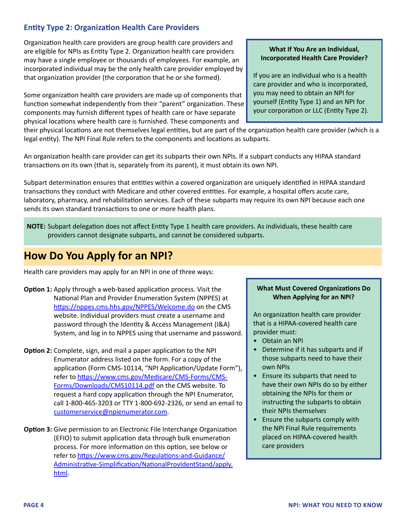### <span id="page-5-0"></span>**Entity Type 2: Organization Health Care Providers**

Organization health care providers are group health care providers and are eligible for NPIs as Entity Type 2. Organization health care providers may have a single employee or thousands of employees. For example, an incorporated individual may be the only health care provider employed by that organization provider (the corporation that he or she formed).

Some organization health care providers are made up of components that function somewhat independently from their "parent" organization. These components may furnish different types of health care or have separate physical locations where health care is furnished. These components and

their physical locations are not themselves legal entities, but are part of the organization health care provider (which is a legal entity). The NPI Final Rule refers to the components and locations as subparts.

An organization health care provider can get its subparts their own NPIs. If a subpart conducts any HIPAA standard transactions on its own (that is, separately from its parent), it must obtain its own NPI.

Subpart determination ensures that entities within a covered organization are uniquely identified in HIPAA standard transactions they conduct with Medicare and other covered entities. For example, a hospital offers acute care, laboratory, pharmacy, and rehabilitation services. Each of these subparts may require its own NPI because each one sends its own standard transactions to one or more health plans.

**NOTE:** Subpart delegation does not affect Entity Type 1 health care providers. As individuals, these health care providers cannot designate subparts, and cannot be considered subparts.

## **How Do You Apply for an NPI?**

Health care providers may apply for an NPI in one of three ways:

- **Option 1:** Apply through a web-based application process. Visit the National Plan and Provider Enumeration System (NPPES) at <https://nppes.cms.hhs.gov/NPPES/Welcome.do>on the CMS website. Individual providers must create a username and password through the Identity & Access Management (I&A) System, and log in to NPPES using that username and password.
- **Option 2:** Complete, sign, and mail a paper application to the NPI Enumerator address listed on the form. For a copy of the application (Form CMS-10114, "NPI Application/Update Form"), refer to [https://www.cms.gov/Medicare/CMS-Forms/CMS-](https://www.cms.gov/Medicare/CMS-Forms/CMS-Forms/Downloads/CMS10114.pdf)[Forms/Downloads/CMS10114.pdf](https://www.cms.gov/Medicare/CMS-Forms/CMS-Forms/Downloads/CMS10114.pdf) on the CMS website. To request a hard copy application through the NPI Enumerator, call 1-800-465-3203 or TTY 1-800-692-2326, or send an email to [customerservice@npienumerator.com](mailto: customerservice@npienumerator.com).
- **Option 3:** Give permission to an Electronic File Interchange Organization (EFIO) to submit application data through bulk enumeration process. For more information on this option, see below or refer to [https://www.cms.gov/Regulations-and-Guidance/](https://www.cms.gov/Regulations-and-Guidance/Administrative-Simplification/NationalProvIdentStand/apply.html) [Administrative-Simplification/NationalProvIdentStand/apply.](https://www.cms.gov/Regulations-and-Guidance/Administrative-Simplification/NationalProvIdentStand/apply.html) [html.](https://www.cms.gov/Regulations-and-Guidance/Administrative-Simplification/NationalProvIdentStand/apply.html)

#### **What If You Are an Individual, Incorporated Health Care Provider?**

If you are an individual who is a health care provider and who is incorporated, you may need to obtain an NPI for yourself (Entity Type 1) and an NPI for your corporation or LLC (Entity Type 2).

#### **What Must Covered Organizations Do When Applying for an NPI?**

An organization health care provider that is a HIPAA-covered health care provider must:

- Obtain an NPI
- Determine if it has subparts and if those subparts need to have their own NPIs
- Ensure its subparts that need to have their own NPIs do so by either obtaining the NPIs for them or instructing the subparts to obtain their NPIs themselves
- Ensure the subparts comply with the NPI Final Rule requirements placed on HIPAA-covered health care providers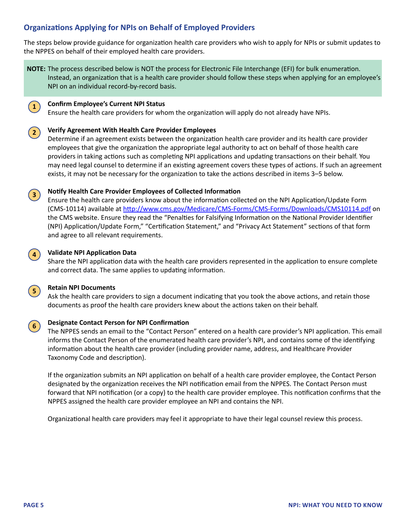### **Organizations Applying for NPIs on Behalf of Employed Providers**

The steps below provide guidance for organization health care providers who wish to apply for NPIs or submit updates to the NPPES on behalf of their employed health care providers.

**NOTE:** The process described below is NOT the process for Electronic File Interchange (EFI) for bulk enumeration. Instead, an organization that is a health care provider should follow these steps when applying for an employee's NPI on an individual record-by-record basis.

#### **Confirm Employee's Current NPI Status 1**

Ensure the health care providers for whom the organization will apply do not already have NPIs.

#### **Verify Agreement With Health Care Provider Employees 2**

Determine if an agreement exists between the organization health care provider and its health care provider employees that give the organization the appropriate legal authority to act on behalf of those health care providers in taking actions such as completing NPI applications and updating transactions on their behalf. You may need legal counsel to determine if an existing agreement covers these types of actions. If such an agreement exists, it may not be necessary for the organization to take the actions described in items 3–5 below.

#### **Notify Health Care Provider Employees of Collected Information 3**

Ensure the health care providers know about the information collected on the NPI Application/Update Form (CMS-10114) available at <http://www.cms.gov/Medicare/CMS-Forms/CMS-Forms/Downloads/CMS10114.pdf> on the CMS website. Ensure they read the "Penalties for Falsifying Information on the National Provider Identifier (NPI) Application/Update Form," "Certification Statement," and "Privacy Act Statement" sections of that form and agree to all relevant requirements.

#### **Validate NPI Application Data 4**

Share the NPI application data with the health care providers represented in the application to ensure complete and correct data. The same applies to updating information.

#### **Retain NPI Documents**

Ask the health care providers to sign a document indicating that you took the above actions, and retain those documents as proof the health care providers knew about the actions taken on their behalf.

#### **Designate Contact Person for NPI Confirmation 6**

The NPPES sends an email to the "Contact Person" entered on a health care provider's NPI application. This email informs the Contact Person of the enumerated health care provider's NPI, and contains some of the identifying information about the health care provider (including provider name, address, and Healthcare Provider Taxonomy Code and description).

If the organization submits an NPI application on behalf of a health care provider employee, the Contact Person designated by the organization receives the NPI notification email from the NPPES. The Contact Person must forward that NPI notification (or a copy) to the health care provider employee. This notification confirms that the NPPES assigned the health care provider employee an NPI and contains the NPI.

Organizational health care providers may feel it appropriate to have their legal counsel review this process.

**5**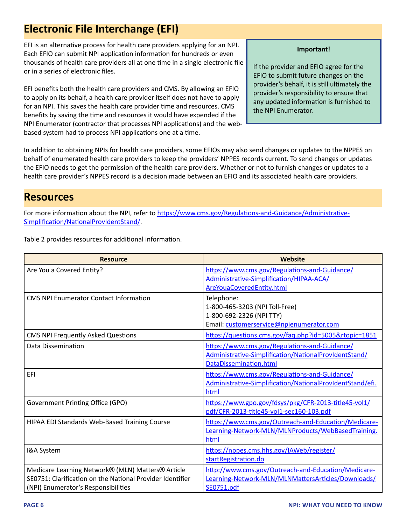## <span id="page-7-0"></span>**Electronic File Interchange (EFI)**

EFI is an alternative process for health care providers applying for an NPI. Each EFIO can submit NPI application information for hundreds or even thousands of health care providers all at one time in a single electronic file or in a series of electronic files.

EFI benefits both the health care providers and CMS. By allowing an EFIO to apply on its behalf, a health care provider itself does not have to apply for an NPI. This saves the health care provider time and resources. CMS benefits by saving the time and resources it would have expended if the NPI Enumerator (contractor that processes NPI applications) and the webbased system had to process NPI applications one at a time.

#### **Important!**

If the provider and EFIO agree for the EFIO to submit future changes on the provider's behalf, it is still ultimately the provider's responsibility to ensure that any updated information is furnished to the NPI Enumerator.

In addition to obtaining NPIs for health care providers, some EFIOs may also send changes or updates to the NPPES on behalf of enumerated health care providers to keep the providers' NPPES records current. To send changes or updates the EFIO needs to get the permission of the health care providers. Whether or not to furnish changes or updates to a health care provider's NPPES record is a decision made between an EFIO and its associated health care providers.

### **Resources**

For more information about the NPI, refer to [https://www.cms.gov/Regulations-and-Guidance/Administrative-](https://www.cms.gov/Regulations-and-Guidance/Administrative-Simplification/NationalProvIdentStand/)[Simplification/NationalProvIdentStand/.](https://www.cms.gov/Regulations-and-Guidance/Administrative-Simplification/NationalProvIdentStand/)

Table 2 provides resources for additional information.

| <b>Resource</b>                                           | Website                                                   |
|-----------------------------------------------------------|-----------------------------------------------------------|
| Are You a Covered Entity?                                 | https://www.cms.gov/Regulations-and-Guidance/             |
|                                                           | Administrative-Simplification/HIPAA-ACA/                  |
|                                                           | AreYouaCoveredEntity.html                                 |
| <b>CMS NPI Enumerator Contact Information</b>             | Telephone:                                                |
|                                                           | 1-800-465-3203 (NPI Toll-Free)                            |
|                                                           | 1-800-692-2326 (NPI TTY)                                  |
|                                                           | Email: customerservice@npienumerator.com                  |
| <b>CMS NPI Frequently Asked Questions</b>                 | https://questions.cms.gov/faq.php?id=5005&rtopic=1851     |
| Data Dissemination                                        | https://www.cms.gov/Regulations-and-Guidance/             |
|                                                           | Administrative-Simplification/NationalProvIdentStand/     |
|                                                           | DataDissemination.html                                    |
| EFI                                                       | https://www.cms.gov/Regulations-and-Guidance/             |
|                                                           | Administrative-Simplification/NationalProvIdentStand/efi. |
|                                                           | html                                                      |
| Government Printing Office (GPO)                          | https://www.gpo.gov/fdsys/pkg/CFR-2013-title45-vol1/      |
|                                                           | pdf/CFR-2013-title45-vol1-sec160-103.pdf                  |
| HIPAA EDI Standards Web-Based Training Course             | https://www.cms.gov/Outreach-and-Education/Medicare-      |
|                                                           | Learning-Network-MLN/MLNProducts/WebBasedTraining.        |
|                                                           | html                                                      |
| I&A System                                                | https://nppes.cms.hhs.gov/IAWeb/register/                 |
|                                                           | startRegistration.do                                      |
| Medicare Learning Network® (MLN) Matters® Article         | http://www.cms.gov/Outreach-and-Education/Medicare-       |
| SE0751: Clarification on the National Provider Identifier | Learning-Network-MLN/MLNMattersArticles/Downloads/        |
| (NPI) Enumerator's Responsibilities                       | SE0751.pdf                                                |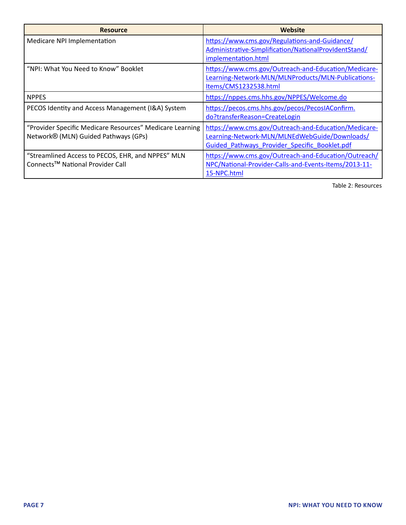| <b>Resource</b>                                                                                   | Website                                                                                                                                                |
|---------------------------------------------------------------------------------------------------|--------------------------------------------------------------------------------------------------------------------------------------------------------|
| Medicare NPI Implementation                                                                       | https://www.cms.gov/Regulations-and-Guidance/<br>Administrative-Simplification/NationalProvIdentStand/<br>implementation.html                          |
| "NPI: What You Need to Know" Booklet                                                              | https://www.cms.gov/Outreach-and-Education/Medicare-<br>Learning-Network-MLN/MLNProducts/MLN-Publications-<br>Items/CMS1232538.html                    |
| <b>NPPES</b>                                                                                      | https://nppes.cms.hhs.gov/NPPES/Welcome.do                                                                                                             |
| PECOS Identity and Access Management (I&A) System                                                 | https://pecos.cms.hhs.gov/pecos/PecosIAConfirm.<br>do?transferReason=CreateLogin                                                                       |
| "Provider Specific Medicare Resources" Medicare Learning<br>Network® (MLN) Guided Pathways (GPs)  | https://www.cms.gov/Outreach-and-Education/Medicare-<br>Learning-Network-MLN/MLNEdWebGuide/Downloads/<br>Guided Pathways Provider Specific Booklet.pdf |
| "Streamlined Access to PECOS, EHR, and NPPES" MLN<br>Connects <sup>™</sup> National Provider Call | https://www.cms.gov/Outreach-and-Education/Outreach/<br>NPC/National-Provider-Calls-and-Events-Items/2013-11-<br>15-NPC.html                           |

Table 2: Resources